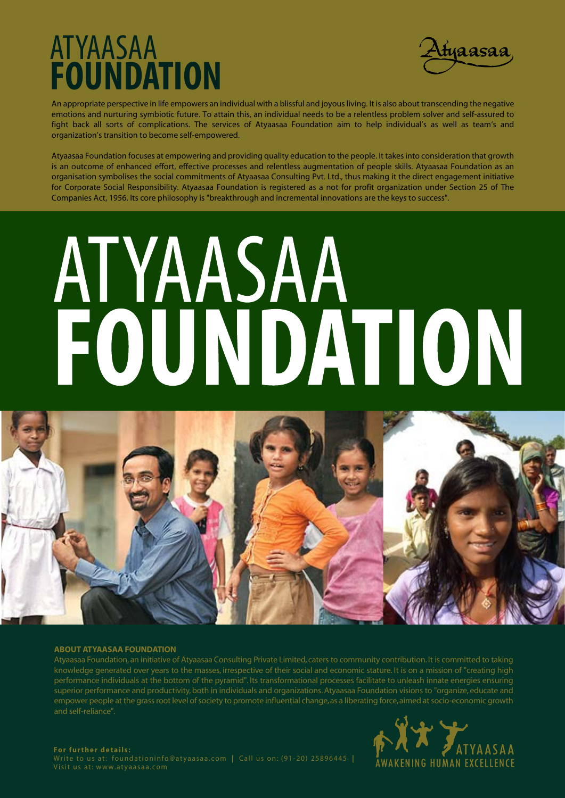## ATYAASAA **FOUNDATION**



An appropriate perspective in life empowers an individual with a blissful and joyous living. It is also about transcending the negative emotions and nurturing symbiotic future. To attain this, an individual needs to be a relentless problem solver and self-assured to fight back all sorts of complications. The services of Atyaasaa Foundation aim to help individual's as well as team's and organization's transition to become self-empowered.

Atyaasaa Foundation focuses at empowering and providing quality education to the people. It takes into consideration that growth is an outcome of enhanced effort, effective processes and relentless augmentation of people skills. Atyaasaa Foundation as an organisation symbolises the social commitments of Atyaasaa Consulting Pvt. Ltd., thus making it the direct engagement initiative for Corporate Social Responsibility. Atyaasaa Foundation is registered as a not for profit organization under Section 25 of The Companies Act, 1956. Its core philosophy is "breakthrough and incremental innovations are the keys to success".

# **ATYAASAA** FOUNDATION



#### **ABOUT ATYAASAA FOUNDATION**

Atyaasaa Foundation, an initiative of Atyaasaa Consulting Private Limited, caters to community contribution. It is committed to taking knowledge generated over years to the masses, irrespective of their social and economic stature. It is on a mission of "creating high performance individuals at the bottom of the pyramid". Its transformational processes facilitate to unleash innate energies ensuring superior performance and productivity, both in individuals and organizations. Atyaasaa Foundation visions to "organize, educate and empower people at the grass root level of society to promote influential change, as a liberating force, aimed at socio-economic growth and self-reliance".



Write to us at: foundationinfo@atyaasaa.com **|** Call us on: (91-20) 25896445 **|**